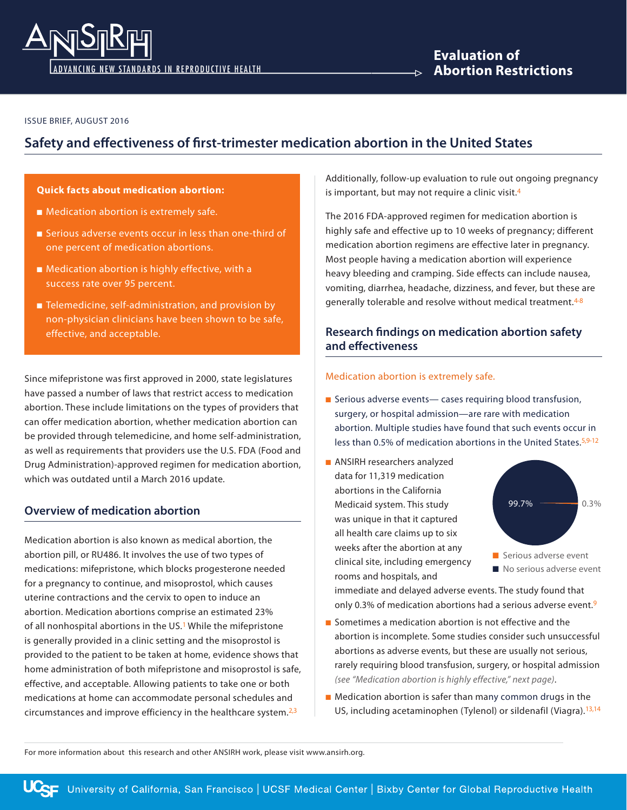

**Evaluation of Abortion Restrictions**

#### ISSUE BRIEF, AUGUST 2016

# **Safety and effectiveness of first-trimester medication abortion in the United States**

### **Quick facts about medication abortion:**

- Medication abortion is extremely safe.
- Serious adverse events occur in less than one-third of one percent of medication abortions.
- $\blacksquare$  Medication abortion is highly effective, with a success rate over 95 percent.
- $\blacksquare$  Telemedicine, self-administration, and provision by non-physician clinicians have been shown to be safe, effective, and acceptable.

Since mifepristone was first approved in 2000, state legislatures have passed a number of laws that restrict access to medication abortion. These include limitations on the types of providers that can offer medication abortion, whether medication abortion can be provided through telemedicine, and home self-administration, as well as requirements that providers use the U.S. FDA (Food and Drug Administration)-approved regimen for medication abortion, which was outdated until a March 2016 update.

### **Overview of medication abortion**

Medication abortion is also known as medical abortion, the abortion pill, or RU486. It involves the use of two types of medications: mifepristone, which blocks progesterone needed for a pregnancy to continue, and misoprostol, which causes uterine contractions and the cervix to open to induce an abortion. Medication abortions comprise an estimated 23% of all nonhospital abortions in the US.<sup>1</sup> While the mifepristone is generally provided in a clinic setting and the misoprostol is provided to the patient to be taken at home, evidence shows that home administration of both mifepristone and misoprostol is safe, effective, and acceptable. Allowing patients to take one or both medications at home can accommodate personal schedules and circumstances and improve efficiency in the healthcare system. $2,3$ 

Additionally, follow-up evaluation to rule out ongoing pregnancy is important, but may not require a clinic visit.<sup>4</sup>

The 2016 FDA-approved regimen for medication abortion is highly safe and effective up to 10 weeks of pregnancy; different medication abortion regimens are effective later in pregnancy. Most people having a medication abortion will experience heavy bleeding and cramping. Side effects can include nausea, vomiting, diarrhea, headache, dizziness, and fever, but these are generally tolerable and resolve without medical treatment.<sup>4-8</sup>

## **Research findings on medication abortion safety and effectiveness**

#### Medication abortion is extremely safe.

- Serious adverse events— cases requiring blood transfusion, surgery, or hospital admission—are rare with medication abortion. Multiple studies have found that such events occur in less than 0.5% of medication abortions in the United States.<sup>5,9-12</sup>
- **n** ANSIRH researchers analyzed data for 11,319 medication abortions in the California Medicaid system. This study was unique in that it captured all health care claims up to six weeks after the abortion at any clinical site, including emergency rooms and hospitals, and



immediate and delayed adverse events. The study found that only 0.3% of medication abortions had a serious adverse event.9

- $\blacksquare$  Sometimes a medication abortion is not effective and the abortion is incomplete. Some studies consider such unsuccessful abortions as adverse events, but these are usually not serious, rarely requiring blood transfusion, surgery, or hospital admission *(see "Medication abortion is highly effective," next page)*.
- $\blacksquare$  Medication abortion is safer than many common drugs in the US, including acetaminophen (Tylenol) or sildenafil (Viagra).<sup>13,14</sup>

For more information about this research and other ANSIRH work, please visit www.ansirh.org.